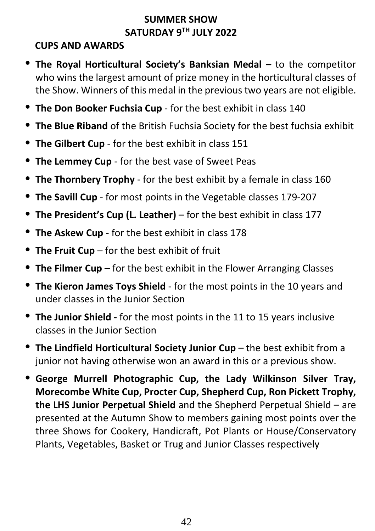## **SUMMER SHOW SATURDAY 9 TH JULY 2022**

#### **CUPS AND AWARDS**

- **The Royal Horticultural Society's Banksian Medal –** to the competitor who wins the largest amount of prize money in the horticultural classes of the Show. Winners of this medal in the previous two years are not eligible.
- **The Don Booker Fuchsia Cup** for the best exhibit in class 140
- **The Blue Riband** of the British Fuchsia Society for the best fuchsia exhibit
- **The Gilbert Cup** for the best exhibit in class 151
- **The Lemmey Cup** for the best vase of Sweet Peas
- **The Thornbery Trophy** for the best exhibit by a female in class 160
- **The Savill Cup** for most points in the Vegetable classes 179-207
- **The President's Cup (L. Leather)** for the best exhibit in class 177
- **The Askew Cup** for the best exhibit in class 178
- **The Fruit Cup** for the best exhibit of fruit
- **The Filmer Cup** for the best exhibit in the Flower Arranging Classes
- **The Kieron James Toys Shield** for the most points in the 10 years and under classes in the Junior Section
- **The Junior Shield -** for the most points in the 11 to 15 years inclusive classes in the Junior Section
- **The Lindfield Horticultural Society Junior Cup** the best exhibit from a junior not having otherwise won an award in this or a previous show.
- **George Murrell Photographic Cup, the Lady Wilkinson Silver Tray, Morecombe White Cup, Procter Cup, Shepherd Cup, Ron Pickett Trophy, the LHS Junior Perpetual Shield** and the Shepherd Perpetual Shield – are presented at the Autumn Show to members gaining most points over the three Shows for Cookery, Handicraft, Pot Plants or House/Conservatory Plants, Vegetables, Basket or Trug and Junior Classes respectively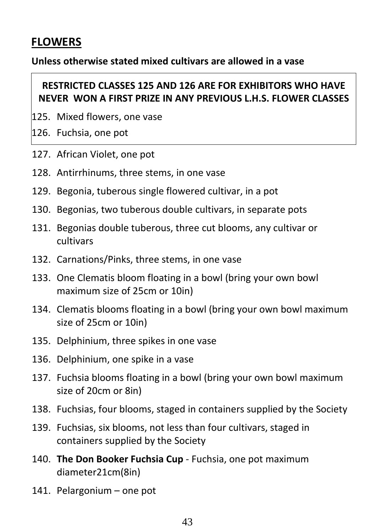# **FLOWERS**

#### **Unless otherwise stated mixed cultivars are allowed in a vase**

#### **RESTRICTED CLASSES 125 AND 126 ARE FOR EXHIBITORS WHO HAVE NEVER WON A FIRST PRIZE IN ANY PREVIOUS L.H.S. FLOWER CLASSES**

- 125. Mixed flowers, one vase
- 126. Fuchsia, one pot
- 127. African Violet, one pot
- 128. Antirrhinums, three stems, in one vase
- 129. Begonia, tuberous single flowered cultivar, in a pot
- 130. Begonias, two tuberous double cultivars, in separate pots
- 131. Begonias double tuberous, three cut blooms, any cultivar or cultivars
- 132. Carnations/Pinks, three stems, in one vase
- 133. One Clematis bloom floating in a bowl (bring your own bowl maximum size of 25cm or 10in)
- 134. Clematis blooms floating in a bowl (bring your own bowl maximum size of 25cm or 10in)
- 135. Delphinium, three spikes in one vase
- 136. Delphinium, one spike in a vase
- 137. Fuchsia blooms floating in a bowl (bring your own bowl maximum size of 20cm or 8in)
- 138. Fuchsias, four blooms, staged in containers supplied by the Society
- 139. Fuchsias, six blooms, not less than four cultivars, staged in containers supplied by the Society
- 140. **The Don Booker Fuchsia Cup** Fuchsia, one pot maximum diameter21cm(8in)
- 141. Pelargonium one pot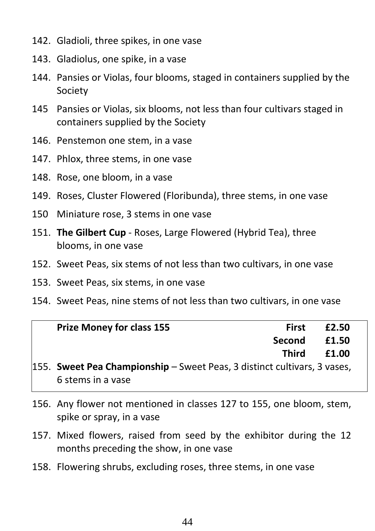- 142. Gladioli, three spikes, in one vase
- 143. Gladiolus, one spike, in a vase
- 144. Pansies or Violas, four blooms, staged in containers supplied by the Society
- 145 Pansies or Violas, six blooms, not less than four cultivars staged in containers supplied by the Society
- 146. Penstemon one stem, in a vase
- 147. Phlox, three stems, in one vase
- 148. Rose, one bloom, in a vase
- 149. Roses, Cluster Flowered (Floribunda), three stems, in one vase
- 150 Miniature rose, 3 stems in one vase
- 151. **The Gilbert Cup** Roses, Large Flowered (Hybrid Tea), three blooms, in one vase
- 152. Sweet Peas, six stems of not less than two cultivars, in one vase
- 153. Sweet Peas, six stems, in one vase
- 154. Sweet Peas, nine stems of not less than two cultivars, in one vase

| <b>Prize Money for class 155</b>                                         | <b>First</b>  | £2.50 |  |
|--------------------------------------------------------------------------|---------------|-------|--|
|                                                                          | <b>Second</b> | £1.50 |  |
|                                                                          | Third         | £1.00 |  |
| 155. Sweet Pea Championship - Sweet Peas, 3 distinct cultivars, 3 vases, |               |       |  |
| 6 stems in a vase                                                        |               |       |  |

- 156. Any flower not mentioned in classes 127 to 155, one bloom, stem, spike or spray, in a vase
- 157. Mixed flowers, raised from seed by the exhibitor during the 12 months preceding the show, in one vase
- 158. Flowering shrubs, excluding roses, three stems, in one vase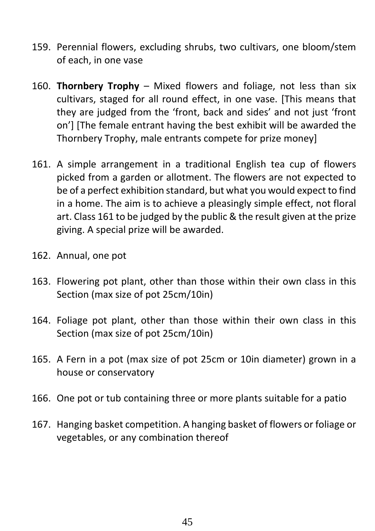- 159. Perennial flowers, excluding shrubs, two cultivars, one bloom/stem of each, in one vase
- 160. **Thornbery Trophy** Mixed flowers and foliage, not less than six cultivars, staged for all round effect, in one vase. [This means that they are judged from the 'front, back and sides' and not just 'front on'] [The female entrant having the best exhibit will be awarded the Thornbery Trophy, male entrants compete for prize money]
- 161. A simple arrangement in a traditional English tea cup of flowers picked from a garden or allotment. The flowers are not expected to be of a perfect exhibition standard, but what you would expect to find in a home. The aim is to achieve a pleasingly simple effect, not floral art. Class 161 to be judged by the public & the result given at the prize giving. A special prize will be awarded.
- 162. Annual, one pot
- 163. Flowering pot plant, other than those within their own class in this Section (max size of pot 25cm/10in)
- 164. Foliage pot plant, other than those within their own class in this Section (max size of pot 25cm/10in)
- 165. A Fern in a pot (max size of pot 25cm or 10in diameter) grown in a house or conservatory
- 166. One pot or tub containing three or more plants suitable for a patio
- 167. Hanging basket competition. A hanging basket of flowers or foliage or vegetables, or any combination thereof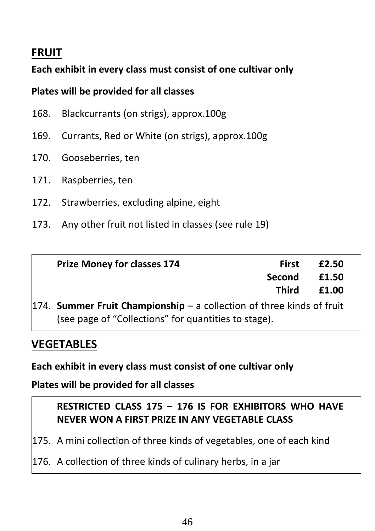## **FRUIT**

## **Each exhibit in every class must consist of one cultivar only**

#### **Plates will be provided for all classes**

- 168. Blackcurrants (on strigs), approx.100g
- 169. Currants, Red or White (on strigs), approx.100g
- 170. Gooseberries, ten
- 171. Raspberries, ten
- 172. Strawberries, excluding alpine, eight
- 173. Any other fruit not listed in classes (see rule 19)

| <b>Prize Money for classes 174</b>                                    | <b>First</b>  | £2.50 |  |
|-----------------------------------------------------------------------|---------------|-------|--|
|                                                                       | <b>Second</b> | £1.50 |  |
|                                                                       | Third         | £1.00 |  |
| 174. Summer Fruit Championship - a collection of three kinds of fruit |               |       |  |
| (see page of "Collections" for quantities to stage).                  |               |       |  |

# **VEGETABLES**

**Each exhibit in every class must consist of one cultivar only**

**Plates will be provided for all classes**

## **RESTRICTED CLASS 175 – 176 IS FOR EXHIBITORS WHO HAVE NEVER WON A FIRST PRIZE IN ANY VEGETABLE CLASS**

175. A mini collection of three kinds of vegetables, one of each kind

176. A collection of three kinds of culinary herbs, in a jar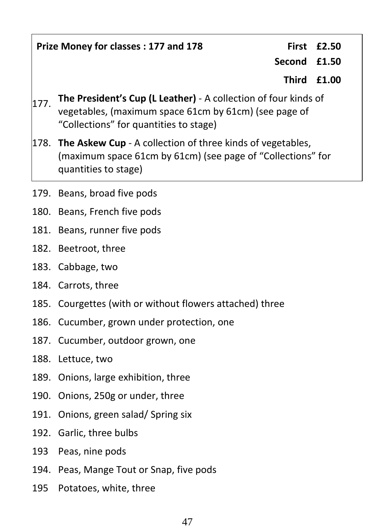**Prize Money for classes : 177 and 178 First £2.50**

**Second £1.50**

**Third £1.00**

- 177. **The President's Cup (L Leather)** <sup>A</sup> collection of four kinds of vegetables, (maximum space 61cm by 61cm) (see page of "Collections" for quantities to stage)
- 178. **The Askew Cup** A collection of three kinds of vegetables, (maximum space 61cm by 61cm) (see page of "Collections" for quantities to stage)
- 179. Beans, broad five pods
- 180. Beans, French five pods
- 181. Beans, runner five pods
- 182. Beetroot, three
- 183. Cabbage, two
- 184. Carrots, three
- 185. Courgettes (with or without flowers attached) three
- 186. Cucumber, grown under protection, one
- 187. Cucumber, outdoor grown, one
- 188. Lettuce, two
- 189. Onions, large exhibition, three
- 190. Onions, 250g or under, three
- 191. Onions, green salad/ Spring six
- 192. Garlic, three bulbs
- 193 Peas, nine pods
- 194. Peas, Mange Tout or Snap, five pods
- 195 Potatoes, white, three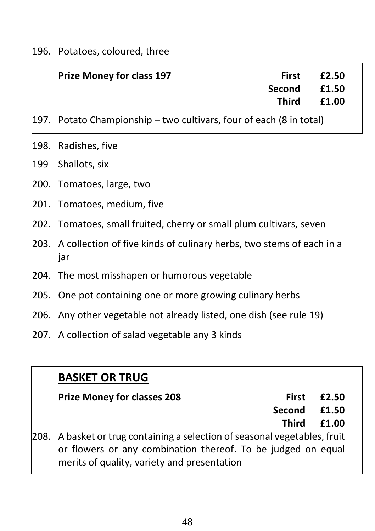|     | <b>Prize Money for class 197</b>                                    | <b>First</b><br>Second<br><b>Third</b> | £2.50<br>£1.50<br>£1.00 |  |
|-----|---------------------------------------------------------------------|----------------------------------------|-------------------------|--|
|     | 197. Potato Championship – two cultivars, four of each (8 in total) |                                        |                         |  |
|     | 198. Radishes, five                                                 |                                        |                         |  |
| 199 | Shallots, six                                                       |                                        |                         |  |
|     | 200. Tomatoes, large, two                                           |                                        |                         |  |

- 201. Tomatoes, medium, five
- 202. Tomatoes, small fruited, cherry or small plum cultivars, seven
- 203. A collection of five kinds of culinary herbs, two stems of each in a jar
- 204. The most misshapen or humorous vegetable
- 205. One pot containing one or more growing culinary herbs
- 206. Any other vegetable not already listed, one dish (see rule 19)
- 207. A collection of salad vegetable any 3 kinds

# **BASKET OR TRUG**

#### **Prize Money for classes 208 First**

**Second £2.50 £1.50**

> **Third £1.00**

 $208.$  A basket or trug containing a selection of seasonal vegetables, fruit or flowers or any combination thereof. To be judged on equal merits of quality, variety and presentation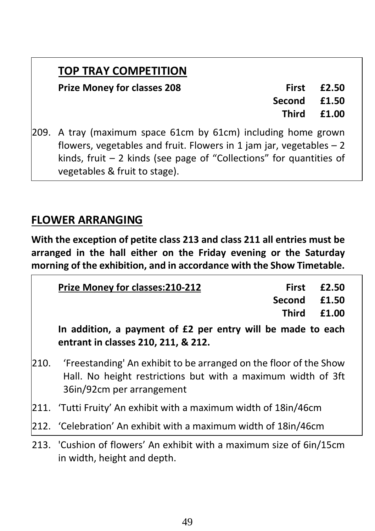# **TOP TRAY COMPETITION**

#### **Prize Money for classes 208 First**

**£2.50**

**Second £1.50**

> **Third £1.00**

209. A tray (maximum space 61cm by 61cm) including home grown flowers, vegetables and fruit. Flowers in 1 jam jar, vegetables  $-2$ kinds, fruit  $-2$  kinds (see page of "Collections" for quantities of vegetables & fruit to stage).

# **FLOWER ARRANGING**

**With the exception of petite class 213 and class 211 all entries must be arranged in the hall either on the Friday evening or the Saturday morning of the exhibition, and in accordance with the Show Timetable.**

| Prize Money for classes: 210-212                                                                                                                                                         | <b>First</b> | £2.50 |
|------------------------------------------------------------------------------------------------------------------------------------------------------------------------------------------|--------------|-------|
|                                                                                                                                                                                          | Second       | £1.50 |
|                                                                                                                                                                                          | <b>Third</b> | £1.00 |
| In addition, a payment of £2 per entry will be made to each<br>entrant in classes 210, 211, & 212.                                                                                       |              |       |
| 210. 'Freestanding' An exhibit to be arranged on the floor of the Show<br>ing Hoowing the College of Service of the London College of the College of College of College of College of Co |              |       |

- Hall. No height restrictions but with a maximum width of 3ft 36in/92cm per arrangement
- 211. 'Tutti Fruity' An exhibit with a maximum width of 18in/46cm
- 212. 'Celebration' An exhibit with a maximum width of 18in/46cm
- 213. 'Cushion of flowers' An exhibit with a maximum size of 6in/15cm in width, height and depth.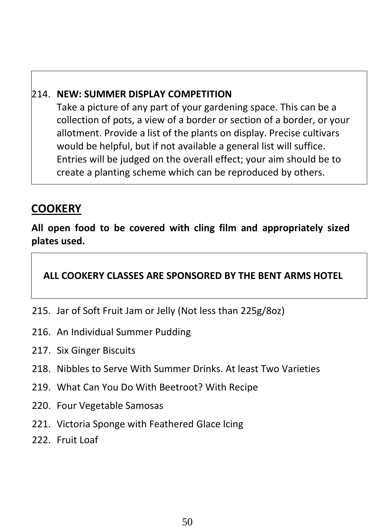#### 214. **NEW: SUMMER DISPLAY COMPETITION**

Take a picture of any part of your gardening space. This can be a collection of pots, a view of a border or section of a border, or your allotment. Provide a list of the plants on display. Precise cultivars would be helpful, but if not available a general list will suffice. Entries will be judged on the overall effect; your aim should be to create a planting scheme which can be reproduced by others.

# **COOKERY**

**All open food to be covered with cling film and appropriately sized plates used.**

#### **ALL COOKERY CLASSES ARE SPONSORED BY THE BENT ARMS HOTEL**

- 215. Jar of Soft Fruit Jam or Jelly (Not less than 225g/8oz)
- 216. An Individual Summer Pudding
- 217. Six Ginger Biscuits
- 218. Nibbles to Serve With Summer Drinks. At least Two Varieties
- 219. What Can You Do With Beetroot? With Recipe
- 220. Four Vegetable Samosas
- 221. Victoria Sponge with Feathered Glace Icing
- 222. Fruit Loaf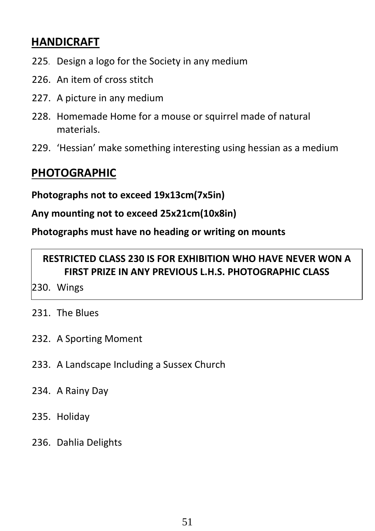# **HANDICRAFT**

- 225. Design a logo for the Society in any medium
- 226. An item of cross stitch
- 227. A picture in any medium
- 228. Homemade Home for a mouse or squirrel made of natural materials.
- 229. 'Hessian' make something interesting using hessian as a medium

# **PHOTOGRAPHIC**

**Photographs not to exceed 19x13cm(7x5in)**

**Any mounting not to exceed 25x21cm(10x8in)**

**Photographs must have no heading or writing on mounts**

## **RESTRICTED CLASS 230 IS FOR EXHIBITION WHO HAVE NEVER WON A FIRST PRIZE IN ANY PREVIOUS L.H.S. PHOTOGRAPHIC CLASS**

- 230. Wings
- 231. The Blues
- 232. A Sporting Moment
- 233. A Landscape Including a Sussex Church
- 234. A Rainy Day
- 235. Holiday
- 236. Dahlia Delights